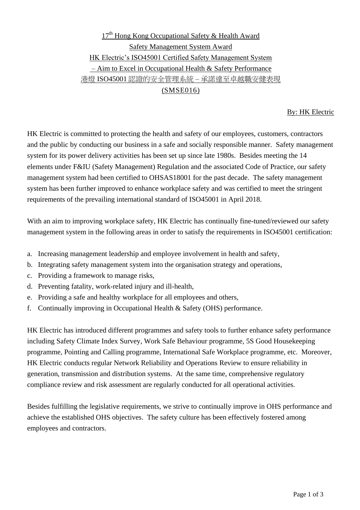# $17<sup>th</sup>$  Hong Kong Occupational Safety & Health Award Safety Management System Award HK Electric's ISO45001 Certified Safety Management System – Aim to Excel in Occupational Health & Safety Performance 港燈 ISO45001 認證的安全管理系統 – 承諾達至卓越職安健表現 (SMSE016)

### By: HK Electric

HK Electric is committed to protecting the health and safety of our employees, customers, contractors and the public by conducting our business in a safe and socially responsible manner. Safety management system for its power delivery activities has been set up since late 1980s. Besides meeting the 14 elements under F&IU (Safety Management) Regulation and the associated Code of Practice, our safety management system had been certified to OHSAS18001 for the past decade. The safety management system has been further improved to enhance workplace safety and was certified to meet the stringent requirements of the prevailing international standard of ISO45001 in April 2018.

With an aim to improving workplace safety, HK Electric has continually fine-tuned/reviewed our safety management system in the following areas in order to satisfy the requirements in ISO45001 certification:

- a. Increasing management leadership and employee involvement in health and safety,
- b. Integrating safety management system into the organisation strategy and operations,
- c. Providing a framework to manage risks,
- d. Preventing fatality, work-related injury and ill-health,
- e. Providing a safe and healthy workplace for all employees and others,
- f. Continually improving in Occupational Health & Safety (OHS) performance.

HK Electric has introduced different programmes and safety tools to further enhance safety performance including Safety Climate Index Survey, Work Safe Behaviour programme, 5S Good Housekeeping programme, Pointing and Calling programme, International Safe Workplace programme, etc. Moreover, HK Electric conducts regular Network Reliability and Operations Review to ensure reliability in generation, transmission and distribution systems. At the same time, comprehensive regulatory compliance review and risk assessment are regularly conducted for all operational activities.

Besides fulfilling the legislative requirements, we strive to continually improve in OHS performance and achieve the established OHS objectives. The safety culture has been effectively fostered among employees and contractors.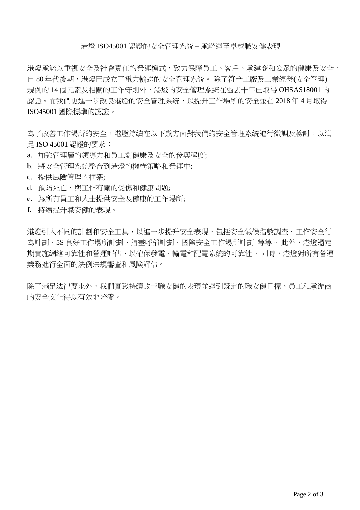### 港燈 ISO45001 認證的安全管理系統 – 承諾達至卓越職安健表現

港燈承諾以重視安全及社會責任的營運模式,致力保障員工、客戶、承建商和公眾的健康及安全。 自 80 年代後期,港燈已成立了電力輸送的安全管理系統。 除了符合工廠及工業經營(安全管理) 規例的 14個元素及相關的工作守則外,港燈的安全管理系統在過去十年已取得 OHSAS18001 的 認證。而我們更進一步改良港燈的安全管理系統,以提升工作場所的安全並在 2018年4月取得 ISO45001 國際標準的認證。

為了改善工作場所的安全,港燈持續在以下幾方面對我們的安全管理系統進行微調及檢討,以滿 足 ISO 45001 認證的要求:

- a. 加強管理層的領導力和員工對健康及安全的參與程度;
- b. 將安全管理系統整合到港燈的機構策略和營運中;
- c. 提供風險管理的框架;
- d. 預防死亡、與工作有關的受傷和健康問題;
- e. 為所有員工和人士提供安全及健康的工作場所;
- f. 持續提升職安健的表現。

港燈引入不同的計劃和安全工具,以進一步提升安全表現,包括安全氣候指數調查、工作安全行 為計劃、5S 良好工作場所計劃、指差呼稱計劃、國際安全工作場所計劃 等等。 此外,港燈還定 期實施網絡可靠性和營運評估,以確保發電、輸電和配電系統的可靠性。 同時,港燈對所有營運 業務進行全面的法例法規審查和風險評估。

除了滿足法律要求外,我們實踐持續改善職安健的表現並達到既定的職安健目標。員工和承辦商 的安全文化得以有效地培養。